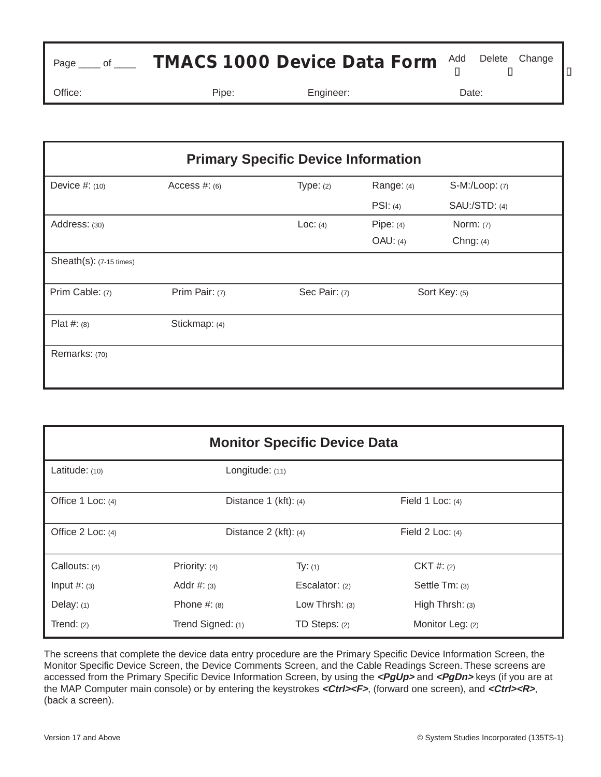| Page _____ of _____ |       | <b>TMACS 1000 Device Data Form</b> Add Delete Change |       |  |
|---------------------|-------|------------------------------------------------------|-------|--|
| Office:             | Pipe: | Engineer:                                            | Date: |  |

| <b>Primary Specific Device Information</b> |                 |               |               |                      |  |
|--------------------------------------------|-----------------|---------------|---------------|----------------------|--|
| Device $#: (10)$                           | Access $#: (6)$ | Type: $(2)$   | Range: (4)    | S-M:/Loop: (7)       |  |
|                                            |                 |               | PSI: (4)      | <b>SAU:/STD: (4)</b> |  |
| Address: (30)                              |                 | Loc: $(4)$    | Pipe: $(4)$   | Norm: $(7)$          |  |
|                                            |                 |               | $OAU$ : (4)   | Chng: $(4)$          |  |
| $Sheath(s): (7-15 times)$                  |                 |               |               |                      |  |
| Prim Cable: (7)                            | Prim Pair: (7)  | Sec Pair: (7) | Sort Key: (5) |                      |  |
| Plat #: $(8)$                              | Stickmap: (4)   |               |               |                      |  |
| Remarks: (70)                              |                 |               |               |                      |  |

| <b>Monitor Specific Device Data</b> |                         |                   |                    |  |  |  |
|-------------------------------------|-------------------------|-------------------|--------------------|--|--|--|
| Latitude: (10)                      | Longitude: (11)         |                   |                    |  |  |  |
| Office 1 Loc: (4)                   | Distance $1$ (kft): (4) |                   | Field 1 Loc: $(4)$ |  |  |  |
| Office 2 Loc: (4)                   | Distance 2 (kft): (4)   |                   | Field 2 Loc: $(4)$ |  |  |  |
| Callouts: $(4)$                     | Priority: (4)           | Ty: (1)           | $CKT \#: (2)$      |  |  |  |
| Input $#: (3)$                      | Addr $#: (3)$           | Escalator: (2)    | Settle $Tm$ : (3)  |  |  |  |
| Delay: (1)                          | Phone $#: (8)$          | Low Thrsh: $(3)$  | High Thrsh: $(3)$  |  |  |  |
| Trend: $(2)$                        | Trend Signed: (1)       | $TD$ Steps: $(2)$ | Monitor Leg: (2)   |  |  |  |

The screens that complete the device data entry procedure are the Primary Specific Device Information Screen, the Monitor Specific Device Screen, the Device Comments Screen, and the Cable Readings Screen. These screens are accessed from the Primary Specific Device Information Screen, by using the **<PgUp>** and **<PgDn>** keys (if you are at the MAP Computer main console) or by entering the keystrokes <Ctrl><F>, (forward one screen), and <Ctrl><R>, (back a screen).